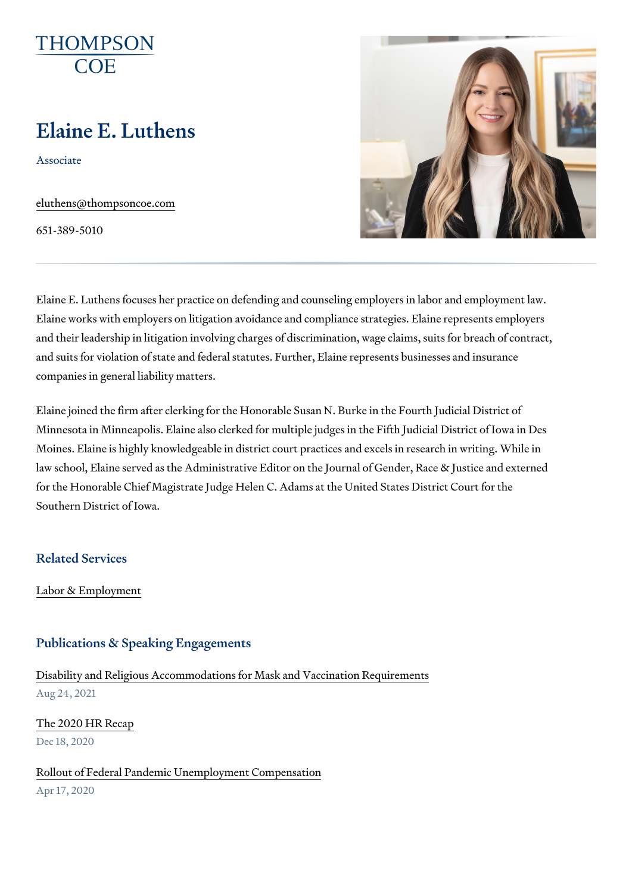# Elaine E. Luthens

Associate

[eluthens@thomps](mailto:eluthens@thompsoncoe.com)oncoe.com

651-389-5010

Elaine E. Luthens focuses her practice on defending and counseling emplo Elaine works with employers on litigation avoidance and compliance strate and their leadership in litigation involving charges of discrimination, wage and suits for violation of state and federal statutes. Further, Elaine repres companies in general liability matters.

Elaine joined the firm after clerking for the Honorable Susan N. Burke in t Minnesota in Minneapolis. Elaine also clerked for multiple judges in the Fi Moines. Elaine is highly knowledgeable in district court practices and exce law school, Elaine served as the Administrative Editor on the Journal of G for the Honorable Chief Magistrate Judge Helen C. Adams at the United St. Southern District of Iowa.

Related Services

[Labor & Empl](https://www.thompsoncoe.com/people/elaine-e-luthens/)oyment

#### Publications & Speaking Engagements

[Disability and Religious Accommodations for Mas](https://www.thompsoncoe.com/resources/publications/disability-and-religious-accommodations-for-mask-and-vaccination-requirements/)k and Vaccination Require Aug 24, 2021

[The 2020 HR](https://www.thompsoncoe.com/resources/publications/the-2020-hr-recap/) Recap Dec 18, 2020

[Rollout of Federal Pandemic Unempl](https://www.thompsoncoe.com/resources/publications/rollout-of-federal-pandemic-unemployment-compensation/)oyment Compensation

Apr 17, 2020